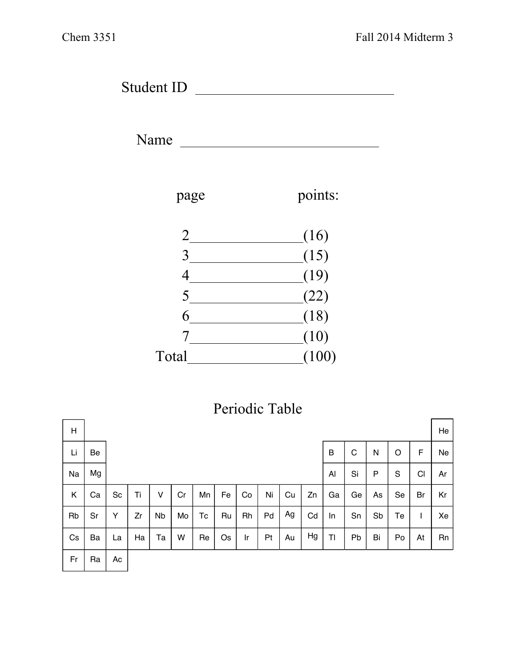Student ID

Name



## Periodic Table

| H  |    |    |    |           |    |    |    |    |    |    |    |    |    |    |    |    | He |
|----|----|----|----|-----------|----|----|----|----|----|----|----|----|----|----|----|----|----|
| Li | Be |    |    |           |    |    |    |    |    |    |    | B  | C  | N  | O  | F  | Ne |
| Na | Mg |    |    |           |    |    |    |    |    |    |    | Al | Si | P  | S  | CI | Ar |
| Κ  | Ca | Sc | Ti | v         | Cr | Mn | Fe | Co | Ni | Cu | Zn | Ga | Ge | As | Se | Br | Kr |
| Rb | Sr | Y  | Zr | <b>Nb</b> | Mo | Тc | Ru | Rh | Pd | Ag | Cd | In | Sn | Sb | Te |    | Xe |
| Cs | Ba | La | Ha | Та        | W  | Re | Os | Ir | Pt | Au | Hg | TI | Pb | Bi | Po | At | Rn |
| Fr | Ra | Ac |    |           |    |    |    |    |    |    |    |    |    |    |    |    |    |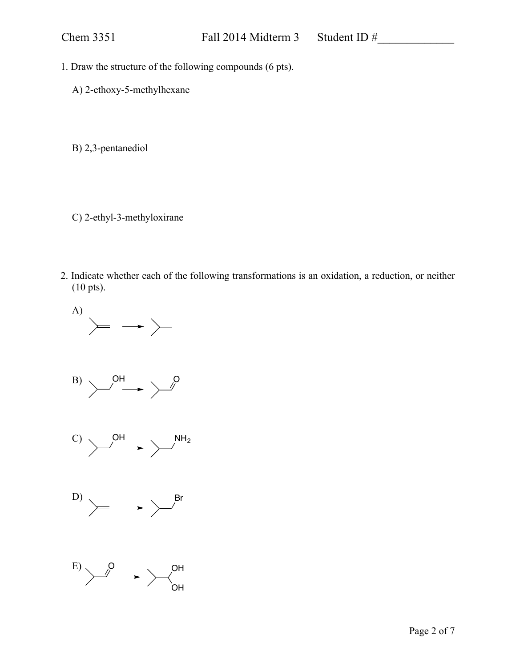- 1. Draw the structure of the following compounds (6 pts).
	- A) 2-ethoxy-5-methylhexane
	- B) 2,3-pentanediol
	- C) 2-ethyl-3-methyloxirane
- 2. Indicate whether each of the following transformations is an oxidation, a reduction, or neither (10 pts).

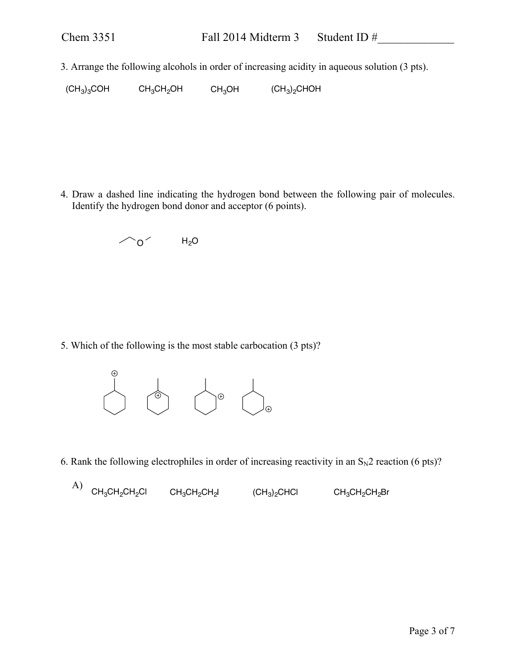3. Arrange the following alcohols in order of increasing acidity in aqueous solution (3 pts).

 $(CH<sub>3</sub>)<sub>3</sub>COH$   $CH<sub>3</sub>CH<sub>2</sub>OH$   $CH<sub>3</sub>OH$   $(CH<sub>3</sub>)<sub>2</sub>CHOH$ 

4. Draw a dashed line indicating the hydrogen bond between the following pair of molecules. Identify the hydrogen bond donor and acceptor (6 points).



5. Which of the following is the most stable carbocation (3 pts)?



6. Rank the following electrophiles in order of increasing reactivity in an  $S_N2$  reaction (6 pts)?

A)  $\mathsf{CH}_3\mathsf{CH}_2\mathsf{CH}_2\mathsf{Cl}$   $\mathsf{CH}_3\mathsf{CH}_2\mathsf{CH}_2\mathsf{H}_2$  (CH $_3$ ) $_2$ CHCl  $\mathsf{CH}_3\mathsf{CH}_2\mathsf{CH}_2\mathsf{Br}$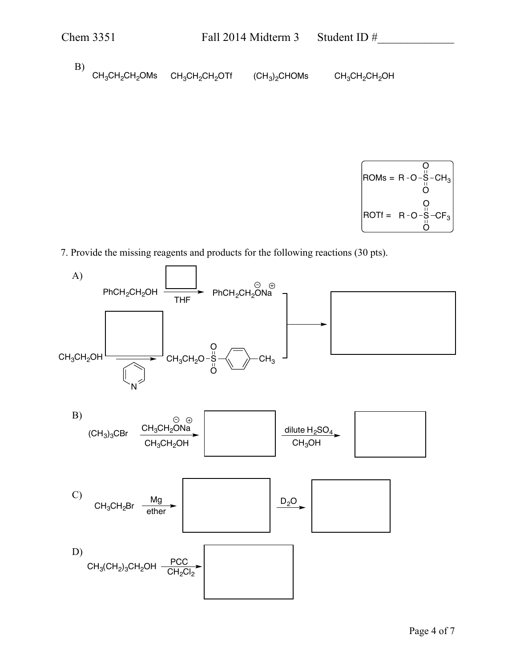B)  $CH_3CH_2CH_2OMs$   $CH_3CH_2CH_2OH$   $(CH_3)_2CHOMs$   $CH_3CH_2CH_2OH$ 



7. Provide the missing reagents and products for the following reactions (30 pts).

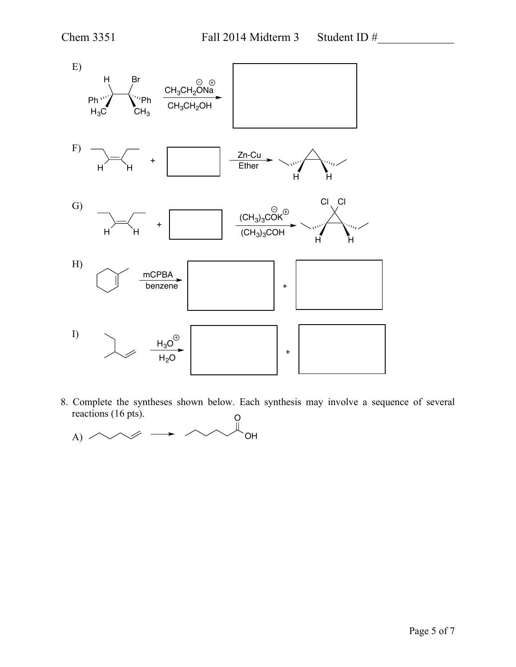

8. Complete the syntheses shown below. Each synthesis may involve a sequence of several reactions (16 pts). O

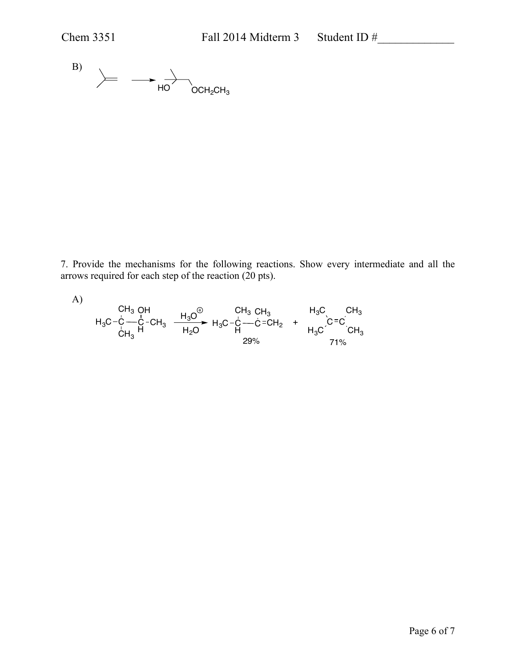

7. Provide the mechanisms for the following reactions. Show every intermediate and all the arrows required for each step of the reaction (20 pts).